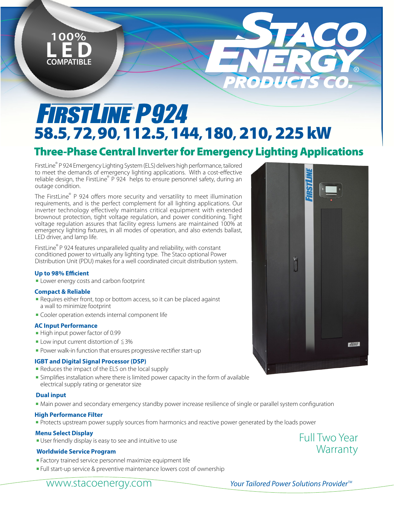

# **FIRSTLINE P924** 58.5, 72, 90,112.5, 144,180, 210, 225 kW

# Three-Phase Central Inverter for Emergency Lighting Applications

FirstLine*®* P 924 Emergency Lighting System (ELS) delivers high performance, tailored to meet the demands of emergency lighting applications. With a cost-effective reliable design, the FirstLine*®* P 924 helps to ensure personnel safety, during an outage condition.

The FirstLine*®* P 924 offers more security and versatility to meet illumination requirements, and is the perfect complement for all lighting applications. Our inverter technology effectively maintains critical equipment with extended brownout protection, tight voltage regulation, and power conditioning. Tight voltage regulation assures that facility egress lumens are maintained 100% at emergency lighting fixtures, in all modes of operation, and also extends ballast, LED driver, and lamp life.

FirstLine*®* P 924 features unparalleled quality and reliability, with constant conditioned power to virtually any lighting type. The Staco optional Power Distribution Unit (PDU) makes for a well coordinated circuit distribution system.

### **Up to 98% Efficient**

**E** Lower energy costs and carbon footprint

### **Compact & Reliable**

- Requires either front, top or bottom access, so it can be placed against a wall to minimize footprint
- **EX Cooler operation extends internal component life**

#### **AC Input Performance**

- $\blacksquare$  High input power factor of 0.99
- $\blacksquare$  Low input current distortion of  $\leq$  3%
- Power walk-in function that ensures progressive rectifier start-up

### **IGBT and Digital Signal Processor (DSP)**

- Reduces the impact of the ELS on the local supply
- <sup>n</sup> Simplifies installation where there is limited power capacity in the form of available electrical supply rating or generator size

#### **Dual input**

• Main power and secondary emergency standby power increase resilience of single or parallel system configuration

#### **High Performance Filter**

**• Protects upstream power supply sources from harmonics and reactive power generated by the loads power** 

#### **Menu Select Display**

**J** User friendly display is easy to see and intuitive to use

#### **Worldwide Service Program**

- <sup>n</sup> Factory trained service personnel maximize equipment life
- **Full start-up service & preventive maintenance lowers cost of ownership**



Full Two Year

**Warranty**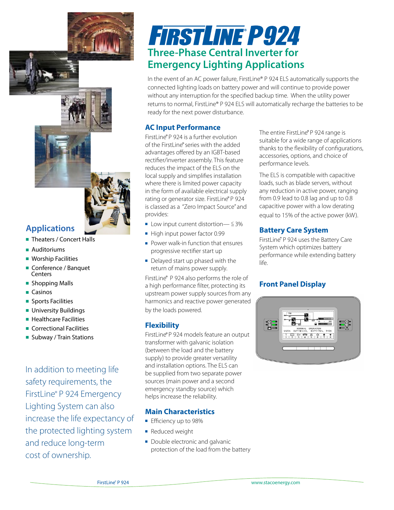# **Applications**

- **n** Theaters / Concert Halls
- $\blacksquare$  Auditoriums
- $\blacksquare$  Worship Facilities
- Conference / Banquet **Centers**
- **n** Shopping Malls
- $\blacksquare$  Casinos
- **n** Sports Facilities
- **n** University Buildings
- $\blacksquare$  Healthcare Facilities
- **n** Correctional Facilities
- Subway / Train Stations

In addition to meeting life safety requirements, the FirstLine*®* P 924 Emergency Lighting System can also increase the life expectancy of the protected lighting system and reduce long-term cost of ownership.

# **FIRSTLINE P924 Three-Phase Central Inverter for Emergency Lighting Applications**

In the event of an AC power failure, FirstLine® P 924 ELS automatically supports the connected lighting loads on battery power and will continue to provide power without any interruption for the specified backup time. When the utility power returns to normal, FirstLine® P 924 ELS will automatically recharge the batteries to be ready for the next power disturbance.

## **AC Input Performance**

FirstLine® P 924 is a further evolution of the FirstLine® series with the added advantages offered by an IGBT-based rectifier/inverter assembly. This feature reduces the impact of the ELS on the local supply and simplifies installation where there is limited power capacity in the form of available electrical supply rating or generator size. FirstLine® P 924 is classed as a "Zero Impact Source" and provides:

- **DE Low input current distortion—**  $\leq 3\%$
- $\blacksquare$  High input power factor 0.99
- $\blacksquare$  Power walk-in function that ensures progressive rectifier start up
- $\blacksquare$  Delayed start up phased with the return of mains power supply.

FirstLine® P 924 also performs the role of a high performance filter, protecting its upstream power supply sources from any harmonics and reactive power generated by the loads powered.

## **Flexibility**

FirstLine® P 924 models feature an output transformer with galvanic isolation (between the load and the battery supply) to provide greater versatility and installation options. The ELS can be supplied from two separate power sources (main power and a second emergency standby source) which helps increase the reliability.

# **Main Characteristics**

- **Efficiency up to 98%**
- **Reduced weight**
- Double electronic and galvanic protection of the load from the battery

The entire FirstLine® P 924 range is suitable for a wide range of applications thanks to the flexibility of configurations, accessories, options, and choice of performance levels.

The ELS is compatible with capacitive loads, such as blade servers, without any reduction in active power, ranging from 0.9 lead to 0.8 lag and up to 0.8 capacitive power with a low derating equal to 15% of the active power (kW).

## **Battery Care System**

FirstLine® P 924 uses the Battery Care System which optimizes battery performance while extending battery life.

# **Front Panel Display**

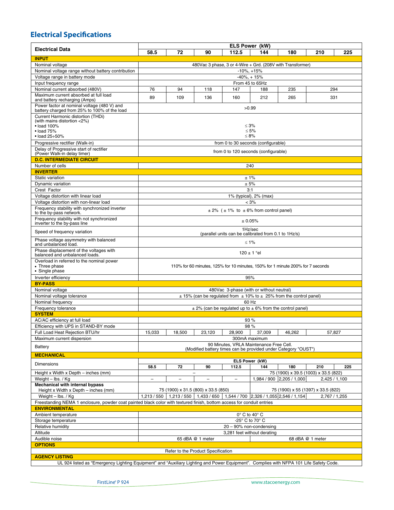# **Electrical Specifications**

|                                                                                                                                        | ELS Power (kW)                                                                                                              |                          |                                     |                                      |                       |                                      |                  |             |  |  |  |  |
|----------------------------------------------------------------------------------------------------------------------------------------|-----------------------------------------------------------------------------------------------------------------------------|--------------------------|-------------------------------------|--------------------------------------|-----------------------|--------------------------------------|------------------|-------------|--|--|--|--|
| <b>Electrical Data</b>                                                                                                                 | 58.5                                                                                                                        | 72                       | 90                                  | 112.5                                | 144                   | 180                                  | 210              | 225         |  |  |  |  |
| <b>INPUT</b>                                                                                                                           |                                                                                                                             |                          |                                     |                                      |                       |                                      |                  |             |  |  |  |  |
| Nominal voltage                                                                                                                        | 480Vac 3 phase, 3 or 4-Wire + Grd. (208V with Transformer)                                                                  |                          |                                     |                                      |                       |                                      |                  |             |  |  |  |  |
| Nominal voltage range without battery contribution                                                                                     | $-10\%$ , $+15\%$                                                                                                           |                          |                                     |                                      |                       |                                      |                  |             |  |  |  |  |
| Voltage range in battery mode                                                                                                          | $-40\% + 15\%$                                                                                                              |                          |                                     |                                      |                       |                                      |                  |             |  |  |  |  |
| Input frequency range                                                                                                                  | From 45 to 65Hz                                                                                                             |                          |                                     |                                      |                       |                                      |                  |             |  |  |  |  |
| Nominal current absorbed (480V)                                                                                                        | 76                                                                                                                          | 94                       | 118                                 | 147                                  | 188                   | 235                                  |                  | 294         |  |  |  |  |
| Maximum current absorbed at full load                                                                                                  | 89                                                                                                                          | 109                      | 136                                 | 160                                  | 212                   | 265                                  |                  | 331         |  |  |  |  |
| and battery recharging (Amps)<br>Power factor at nominal voltage (480 V) and<br>battery charged from 25% to 100% of the load           |                                                                                                                             |                          |                                     |                                      | >0.99                 |                                      |                  |             |  |  |  |  |
| Current Harmonic distortion (THDi)                                                                                                     |                                                                                                                             |                          |                                     |                                      |                       |                                      |                  |             |  |  |  |  |
| (with mains distortion <2%)                                                                                                            |                                                                                                                             |                          |                                     |                                      |                       |                                      |                  |             |  |  |  |  |
| $\bullet$ load 100%                                                                                                                    | $\leq 3\%$                                                                                                                  |                          |                                     |                                      |                       |                                      |                  |             |  |  |  |  |
| $\bullet$ load 75%                                                                                                                     | $\leq 5\%$                                                                                                                  |                          |                                     |                                      |                       |                                      |                  |             |  |  |  |  |
| $\cdot$ load 25 $\div$ 50%                                                                                                             | $\leq 8\%$                                                                                                                  |                          |                                     |                                      |                       |                                      |                  |             |  |  |  |  |
| Progressive rectifier (Walk-in)                                                                                                        |                                                                                                                             |                          |                                     | from 0 to 30 seconds (configurable)  |                       |                                      |                  |             |  |  |  |  |
| Delay of Progressive start of rectifier<br>(Power Walk-in delay timer)                                                                 |                                                                                                                             |                          |                                     | from 0 to 120 seconds (configurable) |                       |                                      |                  |             |  |  |  |  |
| <b>D.C. INTERMEDIATE CIRCUIT</b>                                                                                                       |                                                                                                                             |                          |                                     |                                      |                       |                                      |                  |             |  |  |  |  |
| Number of cells                                                                                                                        |                                                                                                                             |                          |                                     |                                      | 240                   |                                      |                  |             |  |  |  |  |
| <b>INVERTER</b>                                                                                                                        |                                                                                                                             |                          |                                     |                                      |                       |                                      |                  |             |  |  |  |  |
| Static variation                                                                                                                       |                                                                                                                             |                          |                                     |                                      | ±1%                   |                                      |                  |             |  |  |  |  |
| Dynamic variation                                                                                                                      | ± 5%                                                                                                                        |                          |                                     |                                      |                       |                                      |                  |             |  |  |  |  |
| Crest Factor                                                                                                                           |                                                                                                                             |                          |                                     |                                      | 3:1                   |                                      |                  |             |  |  |  |  |
| Voltage distortion with linear load                                                                                                    | 1% (typical), 2% (max)                                                                                                      |                          |                                     |                                      |                       |                                      |                  |             |  |  |  |  |
| Voltage distortion with non-linear load                                                                                                |                                                                                                                             |                          |                                     |                                      | $< 3\%$               |                                      |                  |             |  |  |  |  |
| Frequency stability with synchronized inverter<br>to the by-pass network.                                                              | $\pm$ 2% ( $\pm$ 1% to $\pm$ 6% from control panel)                                                                         |                          |                                     |                                      |                       |                                      |                  |             |  |  |  |  |
| Frequency stability with not synchronized<br>inverter to the by-pass line                                                              | ± 0.05%                                                                                                                     |                          |                                     |                                      |                       |                                      |                  |             |  |  |  |  |
| Speed of frequency variation                                                                                                           | 1Hz/sec<br>(parallel units can be calibrated from 0.1 to 1Hz/s)                                                             |                          |                                     |                                      |                       |                                      |                  |             |  |  |  |  |
| Phase voltage asymmetry with balanced<br>and unbalanced load.                                                                          | $≤ 1\%$                                                                                                                     |                          |                                     |                                      |                       |                                      |                  |             |  |  |  |  |
| Phase displacement of the voltages with<br>balanced and unbalanced loads.                                                              | 120 ± 1 $^{\circ}$ el                                                                                                       |                          |                                     |                                      |                       |                                      |                  |             |  |  |  |  |
| Overload in referred to the nominal power<br>• Three phase<br>• Single phase                                                           | 110% for 60 minutes, 125% for 10 minutes, 150% for 1 minute 200% for 7 seconds                                              |                          |                                     |                                      |                       |                                      |                  |             |  |  |  |  |
|                                                                                                                                        |                                                                                                                             |                          |                                     |                                      | 95%                   |                                      |                  |             |  |  |  |  |
| Inverter efficiency<br><b>BY-PASS</b>                                                                                                  |                                                                                                                             |                          |                                     |                                      |                       |                                      |                  |             |  |  |  |  |
| Nominal voltage                                                                                                                        |                                                                                                                             |                          |                                     |                                      |                       |                                      |                  |             |  |  |  |  |
| Nominal voltage tolerance                                                                                                              | 480Vac 3-phase (with or without neutral)<br>$\pm$ 15% (can be regulated from $\pm$ 10% to $\pm$ 25% from the control panel) |                          |                                     |                                      |                       |                                      |                  |             |  |  |  |  |
| Nominal frequency                                                                                                                      |                                                                                                                             |                          |                                     |                                      | 60 Hz                 |                                      |                  |             |  |  |  |  |
| Frequency tolerance                                                                                                                    |                                                                                                                             |                          |                                     |                                      |                       |                                      |                  |             |  |  |  |  |
| <b>SYSTEM</b>                                                                                                                          | $\pm$ 2% (can be regulated up to $\pm$ 6% from the control panel)                                                           |                          |                                     |                                      |                       |                                      |                  |             |  |  |  |  |
| AC/AC efficiency at full load                                                                                                          |                                                                                                                             |                          |                                     |                                      | 93 %                  |                                      |                  |             |  |  |  |  |
| Efficiency with UPS in STAND-BY mode                                                                                                   | 98%                                                                                                                         |                          |                                     |                                      |                       |                                      |                  |             |  |  |  |  |
| Full Load Heat Rejection BTU/hr                                                                                                        | 15,033                                                                                                                      | 18,500                   | 23,120                              | 28,900                               | 37,009                | 46,262                               |                  | 57,827      |  |  |  |  |
| Maximum current dispersion                                                                                                             | 300mA maximum                                                                                                               |                          |                                     |                                      |                       |                                      |                  |             |  |  |  |  |
| Battery                                                                                                                                | 90 Minutes, VRLA Maintenance Free Cell.<br>(Modified battery times can be provided under Category "OUST")                   |                          |                                     |                                      |                       |                                      |                  |             |  |  |  |  |
| <b>MECHANICAL</b>                                                                                                                      |                                                                                                                             |                          |                                     |                                      |                       |                                      |                  |             |  |  |  |  |
| <b>Dimensions</b>                                                                                                                      | 58.5                                                                                                                        | 72                       | 90                                  | 112.5                                | ELS Power (kW)<br>144 | 180                                  | 210              | 225         |  |  |  |  |
| Height x Width x Depth - inches (mm)                                                                                                   |                                                                                                                             |                          | -                                   |                                      |                       | 75 (1900) x 39.5 (1003) x 33.5 (822) |                  |             |  |  |  |  |
| Weight - lbs. / Kg                                                                                                                     | $\equiv$                                                                                                                    | $\overline{\phantom{m}}$ | $\overline{\phantom{m}}$            | $\overline{\phantom{m}}$             |                       | 1,984 / 900 2,205 / 1,000            |                  | 2,425/1,100 |  |  |  |  |
| <b>Mechanical with internal bypass</b>                                                                                                 |                                                                                                                             |                          |                                     |                                      |                       |                                      |                  |             |  |  |  |  |
| Height x Width x Depth - inches (mm)                                                                                                   |                                                                                                                             |                          | 75 (1900) x 31.5 (800) x 33.5 (850) |                                      |                       | 75 (1900) x 55 (1397) x 33.5 (822)   |                  |             |  |  |  |  |
| Weight - lbs. / Kg                                                                                                                     | 1,544 / 700 2,326 / 1,055 2,546 / 1,154<br>1,213/550<br>$1.213/550$   1.433 / 650  <br>2,767 / 1,255                        |                          |                                     |                                      |                       |                                      |                  |             |  |  |  |  |
| Freestanding NEMA 1 enclosure, powder coat painted black color with textured finish, bottom access for conduit entries                 |                                                                                                                             |                          |                                     |                                      |                       |                                      |                  |             |  |  |  |  |
| <b>ENVIRONMENTAL</b>                                                                                                                   |                                                                                                                             |                          |                                     |                                      |                       |                                      |                  |             |  |  |  |  |
| Ambient temperature                                                                                                                    | $0^\circ$ C to $40^\circ$ C                                                                                                 |                          |                                     |                                      |                       |                                      |                  |             |  |  |  |  |
| Storage temperature                                                                                                                    | -25° C to 70° C                                                                                                             |                          |                                     |                                      |                       |                                      |                  |             |  |  |  |  |
| Relative humidity                                                                                                                      | 20 - 90% non-condensing                                                                                                     |                          |                                     |                                      |                       |                                      |                  |             |  |  |  |  |
| Altitude                                                                                                                               | 3,281 feet without derating                                                                                                 |                          |                                     |                                      |                       |                                      |                  |             |  |  |  |  |
| Audible noise                                                                                                                          |                                                                                                                             |                          | 65 dBA @ 1 meter                    |                                      |                       |                                      | 68 dBA @ 1 meter |             |  |  |  |  |
| <b>OPTIONS</b>                                                                                                                         |                                                                                                                             |                          |                                     |                                      |                       |                                      |                  |             |  |  |  |  |
|                                                                                                                                        |                                                                                                                             |                          | Refer to the Product Specification  |                                      |                       |                                      |                  |             |  |  |  |  |
| <b>AGENCY LISTING</b>                                                                                                                  |                                                                                                                             |                          |                                     |                                      |                       |                                      |                  |             |  |  |  |  |
| UL 924 listed as "Emergency Lighting Equipment" and "Auxiliary Lighting and Power Equipment". Complies with NFPA 101 Life Safety Code. |                                                                                                                             |                          |                                     |                                      |                       |                                      |                  |             |  |  |  |  |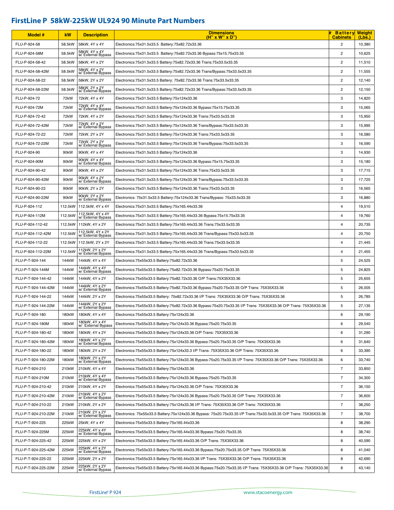# **FirstLine P 58kW-225kW UL924 90 Minute Part Numbers**

| <b>Model #</b>      | kW                 | <b>Description</b>                     | <b>Dimensions</b><br>(H" x W" x D"                                                                                 | <b>Battery Weight</b><br><b>Cabinets</b> | (Lbs.) |
|---------------------|--------------------|----------------------------------------|--------------------------------------------------------------------------------------------------------------------|------------------------------------------|--------|
| FLU-P-924-58        | 58.5kW             | 58kW, 4Y x 4Y                          | Electronics:75x31.5x33.5 Battery:75x82.72x33.36                                                                    | $\overline{c}$                           | 10,380 |
| FLU-P-924-58M       | 58.5kW             | 58kW, 4Y x 4Y<br>w/ External Bypass    | Electronics:75x31.5x33.5 Battery:75x82.72x33.36 Bypass:75x15.75x33.35                                              | $\overline{c}$                           | 10,625 |
| FLU-P-924-58-42     | 58.5kW             | 58kW, 4Y x 2Y                          | Electronics:75x31.5x33.5 Battery:75x82.72x33.36 Trans:75x33.5x33.35                                                | $\overline{c}$                           | 11,510 |
| FLU-P-924-58-42M    | 58.5kW             | 58kW, 4Y x 2Y<br>w/ External Bypass    | Electronics:75x31.5x33.5 Battery:75x82.72x33.36 Trans/Bypass:75x33.5x33.35                                         | $\overline{c}$                           | 11,555 |
| FLU-P-924-58-22     | 58.5kW             | 58kW, 2Y x 2Y                          | Electronics:75x31.5x33.5 Battery: 75x82.72x33.36 Trans:75x33.5x33.35                                               | $\overline{2}$                           | 12,140 |
| FLU-P-924-58-22M    | 58.5kW             | 58kW, 2Y x 2Y<br>w/External Bypass     | Electronics:75x31.5x33.5 Battery:75x82.72x33.36 Trans/Bypass:75x33.5x33.35                                         | $\overline{c}$                           | 12,150 |
| FLU-P-924-72        | 72kW               | 72kW, 4Y x 4Y                          | Electronics:75x31.5x33.5 Battery:75x124x33.36                                                                      | 3                                        | 14,820 |
| FLU-P-924-72M       | 72kW               | 72kW, 4Y x 4Y<br>w/ External Bypass    | Electronics:75x31.5x33.5 Battery:75x124x33.36 Bypass:75x15.75x33.35                                                | 3                                        | 15,065 |
| FLU-P-924-72-42     | 72kW               | 72kW, 4Y x 2Y                          | Electronics:75x31.5x33.5 Battery:75x124x33.36 Trans:75x33.5x33.35                                                  | 3                                        | 15,950 |
| FLU-P-924-72-42M    | 72kW               | 72kW, 4Y x 2Y<br>w/ External Bypass    | Electronics:75x31.5x33.5 Battery:75x124x33.36 Trans/Bypass:75x33.5x33.35                                           | 3                                        | 15,995 |
| FLU-P-924-72-22     | 72kW               | 72kW, 2Y x 2Y                          | Electronics:75x31.5x33.5 Battery:75x124x33.36 Trans:75x33.5x33.35                                                  | 3                                        | 16,580 |
| FLU-P-924-72-22M    | 72kW               | 72kW, 2Y x 2Y<br>w/ External Bypass    | Electronics:75x31.5x33.5 Battery:75x124x33.36 Trans/Bypass:75x33.5x33.35                                           | 3                                        | 16,590 |
| FLU-P-924-90        | 90 <sub>k</sub> W  | 90kW, 4Y x 4Y                          | Electronics:75x31.5x33.5 Battery:75x124x33.36                                                                      | 3                                        | 14,930 |
| FLU-P-924-90M       | 90kW               | 90kW, 4Y x 4Y<br>w/External Bypass     | Electronics:75x31.5x33.5 Battery:75x124x33.36 Bypass:75x15.75x33.35                                                | 3                                        | 15,180 |
| FLU-P-924-90-42     | 90kW               | 90kW, 4Y x 2Y                          | Electronics:75x31.5x33.5 Battery:75x124x33.36 Trans:75x33.5x33.35                                                  | 3                                        | 17,715 |
| FLU-P-924-90-42M    | 90kW               | 90kW, 4Y x 2Y<br>w/ External Bypass    | Electronics:75x31.5x33.5 Battery:75x124x33.36 Trans/Bypass:75x33.5x33.35                                           | 3                                        | 17,725 |
| FLU-P-924-90-22     | 90kW               | 90kW, 2Y x 2Y                          | Electronics:75x31.5x33.5 Battery:75x124x33.36 Trans:75x33.5x33.35                                                  | 3                                        | 16,565 |
| FLU-P-924-90-22M    | 90kW               | 90kW, 2Y x 2Y<br>w/ External Bypass    | Electronics: 75x31.5x33.5 Battery:75x124x33.36 Trans/Bypass: 75x33.5x33.35                                         | 3                                        | 16,880 |
| FLU-P-924-112       | 112.5kW            | 112.5kW, 4Y x 4Y                       | Electronics:75x31.5x33.5 Battery:75x165.44x33.36                                                                   | 4                                        | 19,510 |
| FLU-P-924-112M      | 112.5kW            | 112.5kW, 4Y x 4Y<br>w/ External Bypass | Electronics:75x31.5x33.5 Battery:75x165.44x33.36 Bypass:75x15.75x33.35                                             | 4                                        | 19,760 |
| FLU-P-924-112-42    |                    | 112.5kW   112kW, 4Y x 2Y               | Electronics:75x31.5x33.5 Battery:75x165.44x33.36 Trans:75x33.5x33.35                                               | 4                                        | 20,735 |
| FLU-P-924-112-42M   | 112.5kW            | 112.5kW, 4Y x 2Y<br>w/ External Bypass | Electronics:75x31.5x33.5 Battery:75x165.44x33.36 Trans/Bypass:75x33.5x33.35                                        | 4                                        | 20,750 |
| FLU-P-924-112-22    | 112.5kW            | 112.5kW, 2Y x 2Y                       | Electronics:75x31.5x33.5 Battery:75x165.44x33.36 Trans:75x33.5x33.35                                               | $\overline{4}$                           | 21,445 |
| FLU-P-924-112-22M   | 112.5kW            | 112kW, 2Y x 2Y<br>w/ External Bypass   | Electronics:75x31.5x33.5 Battery:75x165.44x33.36 Trans/Bypass:75x33.5x33.35                                        | $\overline{4}$                           | 21,455 |
| FLU-P-T-924-144     | 144kW              | 144kW, 4Y x 4Y                         | Electronics:75x55x33.5 Battery:75x82.72x33.36                                                                      | 5                                        | 24,525 |
| FLU-P-T-924-144M    | 144kW              | 144kW, 4Y x 4Y<br>w/ External Bypass   | Electronics:75x55x33.5 Battery:75x82.72x33.36 Bypass:75x20.75x33.35                                                | 5                                        | 24,825 |
| FLU-P-T-924-144-42  | 144kW              | 144kW, 4Y x 2Y                         | Electronics:75x55x33.5 Battery:75x82.72x33.36 O/P Trans:75X35X33.36                                                | 5                                        | 25,655 |
| FLU-P-T-924-144-42M | 144kW              | 144kW, 4Y x 2Y<br>w/ External Bypass   | Electronics:75x55x33.5 Battery:75x82.72x33.36 Bypass:75x20.75x33.35 O/P Trans: 75X35X33.36                         | $\sqrt{5}$                               | 26,005 |
| FLU-P-T-924-144-22  | 144kW              | 144kW, 2Y x 2Y                         | Electronics:75x55x33.5 Battery: 75x82.72x33.36 I/P Trans: 75X35X33.36 O/P Trans: 75X35X33.36                       | 5                                        | 26,785 |
| FLU-P-T-924-144-22M | 144kW              | 144kW, 2Y x 2Y<br>w/ External Bypass   | Electronics:75x55x33.5 Battery:75x82.72x33.36 Bypass:75x20.75x33.35 I/P Trans: 75X35X33.36 O/P Trans: 75X35X33.36  | 5                                        | 27,135 |
| FLU-P-T-924-180     | 180kW              | 180kW, 4Y x 4Y                         | Electronics:75x55x33.5 Battery:75x124x33.36                                                                        | 6                                        | 29,190 |
| FLU-P-T-924-180M    | 180kW              | 180kW, 4Y x 4Y<br>w/ External Bypass   | Electronics:75x55x33.5 Battery:75x124x33.36 Bypass:75x20.75x33.35                                                  | 6                                        | 29,540 |
| FLU-P-T-924-180-42  | 180kW              | 180kW, 4Y x 2Y                         | Electronics: 75x55x33.5 Battery: 75x124x33.36 O/P Trans: 75X35X33.36                                               | 6                                        | 31,290 |
| FLU-P-T-924-180-42M | 180kW              | 180kW, 4Y x 2Y<br>w/External Bypass    | Electronics:75x55x33.5 Battery:75x124x33.36 Bypass:75x20.75x33.35 O/P Trans: 75X35X33.36                           | 6                                        | 31,640 |
| FLU-P-T-924-180-22  | 180kW              | 180kW, 2Y x 2Y                         | Electronics:75x55x33.5 Battery:75x124x33.3 I/P Trans: 75X35X33.36 O/P Trans: 75X35X33.36                           | 6                                        | 33,390 |
| FLU-P-T-924-180-22M | 180kW              | 180kW, 2Y x 2Y<br>w/ External Bypass   | Electronics:75x55x33.5 Battery:75x124x33.36 Bypass:75x20.75x33.35 I/P Trans: 75X35X33.36 O/P Trans: 75X35X33.36    | 6                                        | 33,740 |
| FLU-P-T-924-210     | 210kW              | 210kW, 4Y x 4Y                         | Electronics:75x55x33.5 Battery:75x124x33.36                                                                        | 7                                        | 33,850 |
| FLU-P-T-924-210M    | 210 <sub>k</sub> W | 210kW, 4Y x 4Y<br>w/External Bypass    | Electronics:75x55x33.5 Battery:75x124x33.36 Bypass:75x20.75x33.35                                                  | $\overline{7}$                           | 34,300 |
| FLU-P-T-924-210-42  | 210kW              | 210kW, 4Y x 2Y                         | Electronics:75x55x33.5 Battery:75x124x33.36 O/P Trans: 75X35X33.36                                                 | $\overline{7}$                           | 36,150 |
| FLU-P-T-924-210-42M | 210kW              | 210kW, 4Y x 2Y<br>w/ External Bypass   | Electronics:75x55x33.5 Battery:75x124x33.36 Bypass:75x20.75x33.35 O/P Trans: 75X35X33.36                           | 7                                        | 36,600 |
| FLU-P-T-924-210-22  | 210kW              | 210kW, 2Y x 2Y                         | Electronics:75x55x33.5 Battery:75x124x33.36 I/P Trans: 75X35X33.36 O/P Trans: 75X35X33.36                          | $\overline{7}$                           | 38,250 |
| FLU-P-T-924-210-22M | 210kW              | 210kW, 2Y x 2Y<br>w/ External Bypass   | Electronics: 75x55x33.5 Battery:75x124x33.36 Bypass: 75x20.75x33.35 I/P Trans:75x33.5x33.35 O/P Trans: 75X35X33.36 | $\overline{7}$                           | 38,700 |
| FLU-P-T-924-225     | 225kW              | 25kW, 4Y x 4Y                          | Electronics:75x55x33.5 Battery:75x165.44x33.36                                                                     | 8                                        | 38,290 |
| FLU-P-T-924-225M    | 225kW              | 225kW, 4Y x 4Y<br>w/ External Bypass   | Electronics:75x55x33.5 Battery:75x165.44x33.36 Bypass:75x20.75x33.35                                               | 8                                        | 38,740 |
| FLU-P-T-924-225-42  | 225kW              | 225kW, 4Y x 2Y                         | Electronics:75x55x33.5 Battery:75x165.44x33.36 O/P Trans: 75X35X33.36                                              | 8                                        | 40,590 |
| FLU-P-T-924-225-42M | 225kW              | 225kW, 4Y x 2Y<br>w/ External Bypass   | Electronics:75x55x33.5 Battery:75x165.44x33.36 Bypass:75x20.75x33.35 O/P Trans: 75X35X33.36                        | 8                                        | 41,040 |
| FLU-P-T-924-225-22  | 225kW              | 225kW, 2Y x 2Y                         | Electronics:75x55x33.5 Battery:75x165.44x33.36 I/P Trans: 75X35X33.36 O/P Trans: 75X35X33.36                       | 8                                        | 42,690 |
| FLU-P-T-924-225-22M | 225kW              | 225kW, 2Y x 2Y<br>w/ External Bypass   | Electronics:75x55x33.5 Battery:75x165.44x33.36 Bypass:75x20.75x33.35 I/P Trans: 75X35X33.36 O/P Trans: 75X35X33.36 | 8                                        | 43,140 |